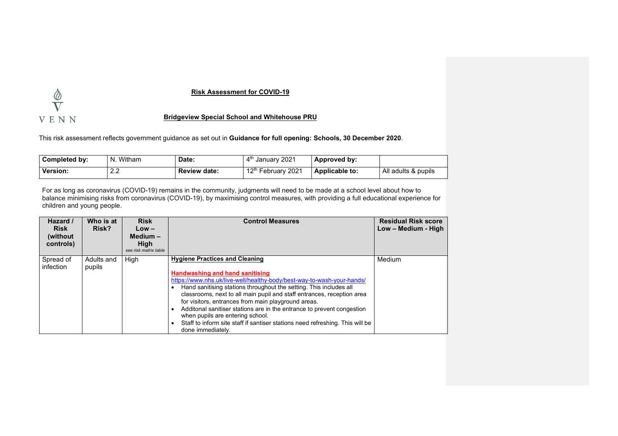

## **Risk Assessment for COVID-19**

## **Bridgeview Special School and Whitehouse PRU**

This risk assessment reflects government guidance as set out in **Guidance for full opening: Schools, 30 December 2020**.

| Completed by:   | N. Witham | Date:               | $\mathbf{\Lambda}^{\text{th}}$<br>January 2021 | Approved by:   |                     |
|-----------------|-----------|---------------------|------------------------------------------------|----------------|---------------------|
| <b>Version:</b> | <u>.</u>  | <b>Review date:</b> | 12 <sup>th</sup> February 2021                 | Applicable to: | All adults & pupils |

For as long as coronavirus (COVID-19) remains in the community, judgments will need to be made at a school level about how to balance minimising risks from coronavirus (COVID-19), by maximising control measures, with providing a full educational experience for children and young people.

| Hazard /<br><b>Risk</b><br>(without)<br>controls) | Who is at<br>Risk?   | <b>Risk</b><br>$Low -$<br>Medium $-$<br><b>High</b><br>see risk matrix table | <b>Control Measures</b>                                                                                                                                                                                                                                                                                                                                                                                                                                                                                                                                                                                                     | <b>Residual Risk score</b><br>Low – Medium - High |
|---------------------------------------------------|----------------------|------------------------------------------------------------------------------|-----------------------------------------------------------------------------------------------------------------------------------------------------------------------------------------------------------------------------------------------------------------------------------------------------------------------------------------------------------------------------------------------------------------------------------------------------------------------------------------------------------------------------------------------------------------------------------------------------------------------------|---------------------------------------------------|
| Spread of<br>infection                            | Adults and<br>pupils | High                                                                         | <b>Hygiene Practices and Cleaning</b><br><b>Handwashing and hand sanitising</b><br>https://www.nhs.uk/live-well/healthy-body/best-way-to-wash-your-hands/<br>Hand sanitising stations throughout the setting. This includes all<br>$\bullet$<br>classrooms, next to all main pupil and staff entrances, reception area<br>for visitors, entrances from main playground areas.<br>Additonal sanitiser stations are in the entrance to prevent congestion<br>$\bullet$<br>when pupils are entering school.<br>Staff to inform site staff if santiser stations need refreshing. This will be<br>$\bullet$<br>done immediately. | Medium                                            |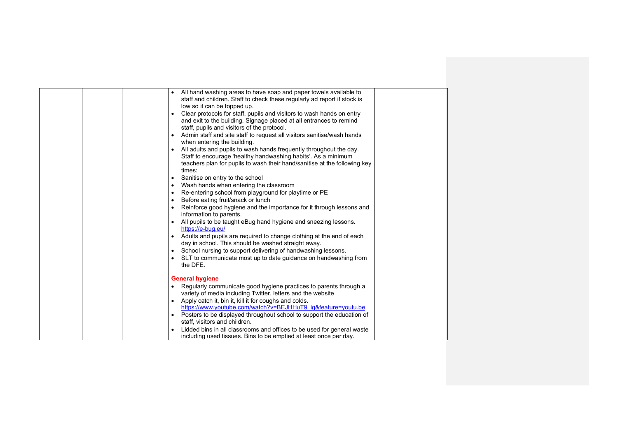| All hand washing areas to have soap and paper towels available to<br>staff and children. Staff to check these regularly ad report if stock is<br>low so it can be topped up.<br>Clear protocols for staff, pupils and visitors to wash hands on entry<br>and exit to the building. Signage placed at all entrances to remind<br>staff, pupils and visitors of the protocol.<br>Admin staff and site staff to request all visitors sanitise/wash hands<br>when entering the building.<br>All adults and pupils to wash hands frequently throughout the day.<br>Staff to encourage 'healthy handwashing habits'. As a minimum<br>teachers plan for pupils to wash their hand/sanitise at the following key<br>times:<br>Sanitise on entry to the school<br>Wash hands when entering the classroom<br>Re-entering school from playground for playtime or PE<br>$\bullet$<br>Before eating fruit/snack or lunch<br>Reinforce good hygiene and the importance for it through lessons and<br>information to parents.<br>All pupils to be taught eBug hand hygiene and sneezing lessons.<br>https://e-bug.eu/<br>Adults and pupils are required to change clothing at the end of each<br>day in school. This should be washed straight away.<br>School nursing to support delivering of handwashing lessons.<br>SLT to communicate most up to date guidance on handwashing from |  |
|--------------------------------------------------------------------------------------------------------------------------------------------------------------------------------------------------------------------------------------------------------------------------------------------------------------------------------------------------------------------------------------------------------------------------------------------------------------------------------------------------------------------------------------------------------------------------------------------------------------------------------------------------------------------------------------------------------------------------------------------------------------------------------------------------------------------------------------------------------------------------------------------------------------------------------------------------------------------------------------------------------------------------------------------------------------------------------------------------------------------------------------------------------------------------------------------------------------------------------------------------------------------------------------------------------------------------------------------------------------------------|--|
| the DFE.<br><b>General hygiene</b><br>• Regularly communicate good hygiene practices to parents through a<br>variety of media including Twitter, letters and the website<br>Apply catch it, bin it, kill it for coughs and colds.<br>https://www.youtube.com/watch?v=BEJHHuT9_iq&feature=youtu.be<br>Posters to be displayed throughout school to support the education of<br>staff, visitors and children.<br>Lidded bins in all classrooms and offices to be used for general waste<br>including used tissues. Bins to be emptied at least once per day.                                                                                                                                                                                                                                                                                                                                                                                                                                                                                                                                                                                                                                                                                                                                                                                                               |  |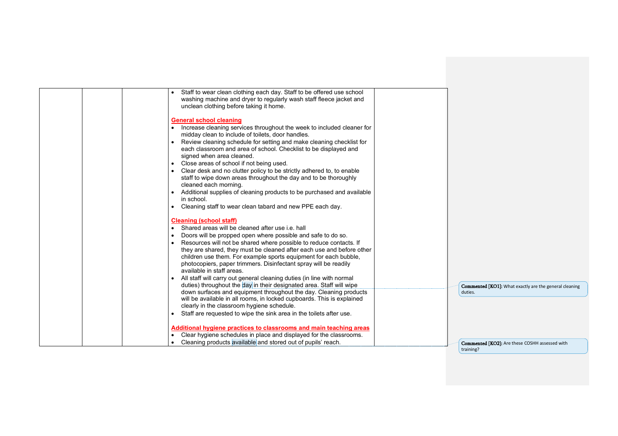| Staff to wear clean clothing each day. Staff to be offered use school<br>washing machine and dryer to regularly wash staff fleece jacket and<br>unclean clothing before taking it home.                                                                                                                                                                                                                                                                                                                                                                                                                                                                                                                                                                                                                                                                                                             |                                                                   |
|-----------------------------------------------------------------------------------------------------------------------------------------------------------------------------------------------------------------------------------------------------------------------------------------------------------------------------------------------------------------------------------------------------------------------------------------------------------------------------------------------------------------------------------------------------------------------------------------------------------------------------------------------------------------------------------------------------------------------------------------------------------------------------------------------------------------------------------------------------------------------------------------------------|-------------------------------------------------------------------|
| <b>General school cleaning</b><br>• Increase cleaning services throughout the week to included cleaner for<br>midday clean to include of toilets, door handles.<br>• Review cleaning schedule for setting and make cleaning checklist for<br>each classroom and area of school. Checklist to be displayed and<br>signed when area cleaned.<br>• Close areas of school if not being used.<br>• Clear desk and no clutter policy to be strictly adhered to, to enable<br>staff to wipe down areas throughout the day and to be thoroughly<br>cleaned each morning.<br>• Additional supplies of cleaning products to be purchased and available<br>in school.<br>• Cleaning staff to wear clean tabard and new PPE each day.                                                                                                                                                                           |                                                                   |
| <b>Cleaning (school staff)</b><br>• Shared areas will be cleaned after use i.e. hall<br>Doors will be propped open where possible and safe to do so.<br>• Resources will not be shared where possible to reduce contacts. If<br>they are shared, they must be cleaned after each use and before other<br>children use them. For example sports equipment for each bubble,<br>photocopiers, paper trimmers. Disinfectant spray will be readily<br>available in staff areas.<br>• All staff will carry out general cleaning duties (in line with normal<br>duties) throughout the day in their designated area. Staff will wipe<br>down surfaces and equipment throughout the day. Cleaning products<br>will be available in all rooms, in locked cupboards. This is explained<br>clearly in the classroom hygiene schedule.<br>• Staff are requested to wipe the sink area in the toilets after use. | Commented [KO1]: What exactly are the general cleaning<br>duties. |
| Additional hygiene practices to classrooms and main teaching areas<br>• Clear hygiene schedules in place and displayed for the classrooms.<br>• Cleaning products available and stored out of pupils' reach.                                                                                                                                                                                                                                                                                                                                                                                                                                                                                                                                                                                                                                                                                        | Commented [KO2]: Are these COSHH assessed with<br>training?       |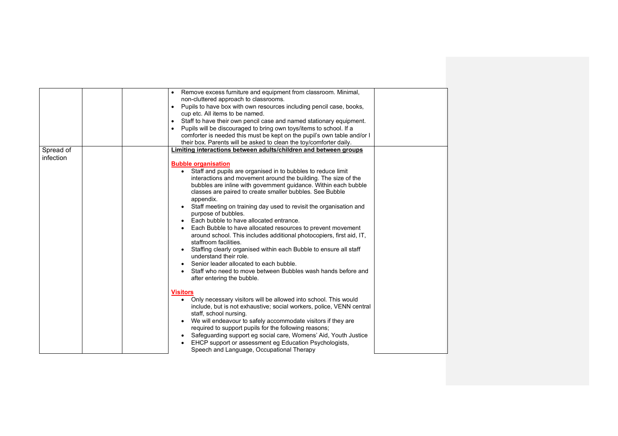|                        | Remove excess furniture and equipment from classroom. Minimal,<br>٠<br>non-cluttered approach to classrooms.<br>Pupils to have box with own resources including pencil case, books,<br>cup etc. All items to be named.<br>Staff to have their own pencil case and named stationary equipment.<br>٠<br>Pupils will be discouraged to bring own toys/items to school. If a<br>comforter is needed this must be kept on the pupil's own table and/or I<br>their box. Parents will be asked to clean the toy/comforter daily.                                                                                                                                                                                                                                                                                                                                                                                                                                                                                                                                                                                                                                                                                                                                                                                                                                                                         |  |
|------------------------|---------------------------------------------------------------------------------------------------------------------------------------------------------------------------------------------------------------------------------------------------------------------------------------------------------------------------------------------------------------------------------------------------------------------------------------------------------------------------------------------------------------------------------------------------------------------------------------------------------------------------------------------------------------------------------------------------------------------------------------------------------------------------------------------------------------------------------------------------------------------------------------------------------------------------------------------------------------------------------------------------------------------------------------------------------------------------------------------------------------------------------------------------------------------------------------------------------------------------------------------------------------------------------------------------------------------------------------------------------------------------------------------------|--|
| Spread of<br>infection | Limiting interactions between adults/children and between groups<br><b>Bubble organisation</b><br>Staff and pupils are organised in to bubbles to reduce limit<br>interactions and movement around the building. The size of the<br>bubbles are inline with government guidance. Within each bubble<br>classes are paired to create smaller bubbles. See Bubble<br>appendix.<br>• Staff meeting on training day used to revisit the organisation and<br>purpose of bubbles.<br>• Each bubble to have allocated entrance.<br>Each Bubble to have allocated resources to prevent movement<br>around school. This includes additional photocopiers, first aid, IT,<br>staffroom facilities.<br>• Staffing clearly organised within each Bubble to ensure all staff<br>understand their role.<br>Senior leader allocated to each bubble.<br>Staff who need to move between Bubbles wash hands before and<br>after entering the bubble.<br><b>Visitors</b><br>• Only necessary visitors will be allowed into school. This would<br>include, but is not exhaustive; social workers, police, VENN central<br>staff, school nursing.<br>• We will endeavour to safely accommodate visitors if they are<br>required to support pupils for the following reasons;<br>Safeguarding support eg social care, Womens' Aid, Youth Justice<br>$\bullet$<br>EHCP support or assessment eg Education Psychologists, |  |
|                        | Speech and Language, Occupational Therapy                                                                                                                                                                                                                                                                                                                                                                                                                                                                                                                                                                                                                                                                                                                                                                                                                                                                                                                                                                                                                                                                                                                                                                                                                                                                                                                                                         |  |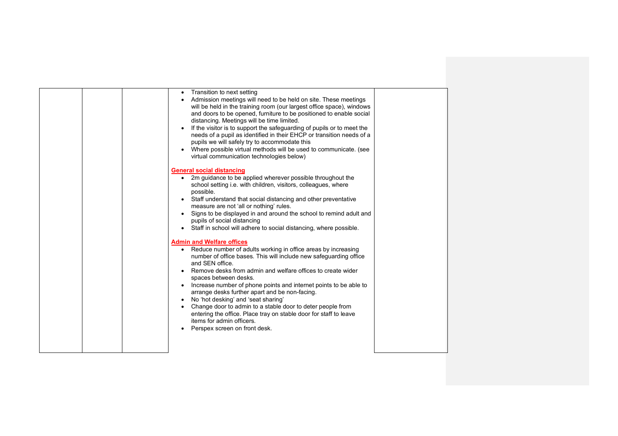|  | Transition to next setting<br>Admission meetings will need to be held on site. These meetings<br>will be held in the training room (our largest office space), windows<br>and doors to be opened, furniture to be positioned to enable social<br>distancing. Meetings will be time limited.<br>If the visitor is to support the safeguarding of pupils or to meet the<br>needs of a pupil as identified in their EHCP or transition needs of a<br>pupils we will safely try to accommodate this<br>Where possible virtual methods will be used to communicate. (see<br>virtual communication technologies below)<br><b>General social distancing</b><br>• 2m guidance to be applied wherever possible throughout the<br>school setting i.e. with children, visitors, colleagues, where<br>possible.<br>Staff understand that social distancing and other preventative<br>measure are not 'all or nothing' rules.<br>Signs to be displayed in and around the school to remind adult and<br>pupils of social distancing<br>• Staff in school will adhere to social distancing, where possible.<br><b>Admin and Welfare offices</b><br>• Reduce number of adults working in office areas by increasing<br>number of office bases. This will include new safeguarding office<br>and SEN office.<br>Remove desks from admin and welfare offices to create wider<br>spaces between desks.<br>Increase number of phone points and internet points to be able to<br>arrange desks further apart and be non-facing.<br>No 'hot desking' and 'seat sharing'<br>• Change door to admin to a stable door to deter people from<br>entering the office. Place tray on stable door for staff to leave<br>items for admin officers.<br>Perspex screen on front desk. |  |
|--|------------------------------------------------------------------------------------------------------------------------------------------------------------------------------------------------------------------------------------------------------------------------------------------------------------------------------------------------------------------------------------------------------------------------------------------------------------------------------------------------------------------------------------------------------------------------------------------------------------------------------------------------------------------------------------------------------------------------------------------------------------------------------------------------------------------------------------------------------------------------------------------------------------------------------------------------------------------------------------------------------------------------------------------------------------------------------------------------------------------------------------------------------------------------------------------------------------------------------------------------------------------------------------------------------------------------------------------------------------------------------------------------------------------------------------------------------------------------------------------------------------------------------------------------------------------------------------------------------------------------------------------------------------------------------------------------------------------------------------------------------|--|
|--|------------------------------------------------------------------------------------------------------------------------------------------------------------------------------------------------------------------------------------------------------------------------------------------------------------------------------------------------------------------------------------------------------------------------------------------------------------------------------------------------------------------------------------------------------------------------------------------------------------------------------------------------------------------------------------------------------------------------------------------------------------------------------------------------------------------------------------------------------------------------------------------------------------------------------------------------------------------------------------------------------------------------------------------------------------------------------------------------------------------------------------------------------------------------------------------------------------------------------------------------------------------------------------------------------------------------------------------------------------------------------------------------------------------------------------------------------------------------------------------------------------------------------------------------------------------------------------------------------------------------------------------------------------------------------------------------------------------------------------------------------|--|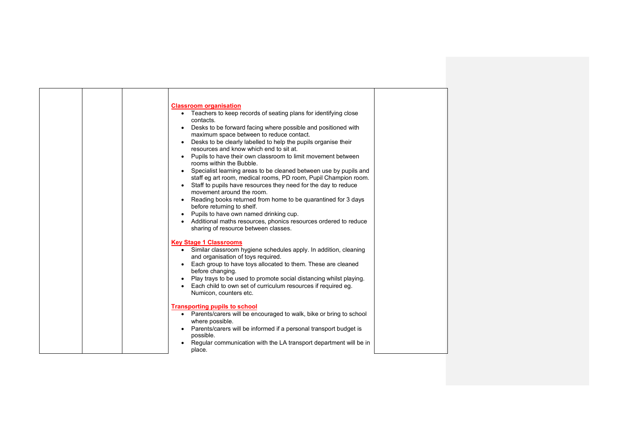| <b>Classroom organisation</b><br>• Teachers to keep records of seating plans for identifying close<br>contacts.<br>Desks to be forward facing where possible and positioned with<br>maximum space between to reduce contact.<br>Desks to be clearly labelled to help the pupils organise their<br>$\bullet$<br>resources and know which end to sit at.<br>Pupils to have their own classroom to limit movement between<br>$\bullet$<br>rooms within the Bubble.<br>• Specialist learning areas to be cleaned between use by pupils and<br>staff eg art room, medical rooms, PD room, Pupil Champion room.<br>Staff to pupils have resources they need for the day to reduce<br>movement around the room.<br>Reading books returned from home to be quarantined for 3 days<br>$\bullet$<br>before returning to shelf.<br>Pupils to have own named drinking cup.<br>Additional maths resources, phonics resources ordered to reduce<br>sharing of resource between classes. |  |
|---------------------------------------------------------------------------------------------------------------------------------------------------------------------------------------------------------------------------------------------------------------------------------------------------------------------------------------------------------------------------------------------------------------------------------------------------------------------------------------------------------------------------------------------------------------------------------------------------------------------------------------------------------------------------------------------------------------------------------------------------------------------------------------------------------------------------------------------------------------------------------------------------------------------------------------------------------------------------|--|
| <b>Key Stage 1 Classrooms</b><br>• Similar classroom hygiene schedules apply. In addition, cleaning<br>and organisation of toys required.<br>Each group to have toys allocated to them. These are cleaned<br>before changing.<br>Play trays to be used to promote social distancing whilst playing.<br>Each child to own set of curriculum resources if required eq.<br>Numicon, counters etc.                                                                                                                                                                                                                                                                                                                                                                                                                                                                                                                                                                            |  |
| <b>Transporting pupils to school</b><br>• Parents/carers will be encouraged to walk, bike or bring to school<br>where possible.<br>Parents/carers will be informed if a personal transport budget is<br>possible.<br>Regular communication with the LA transport department will be in<br>place.                                                                                                                                                                                                                                                                                                                                                                                                                                                                                                                                                                                                                                                                          |  |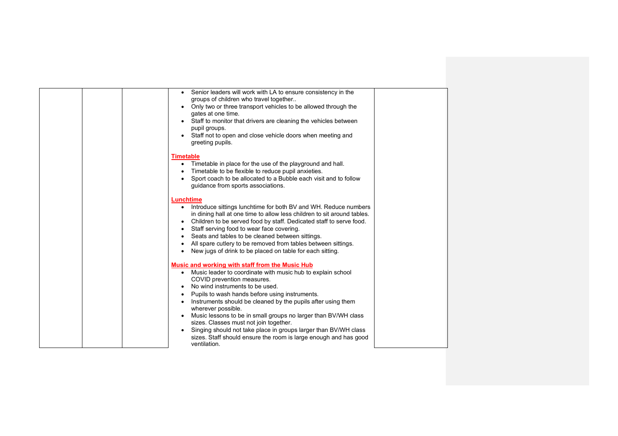| Senior leaders will work with LA to ensure consistency in the<br>groups of children who travel together<br>Only two or three transport vehicles to be allowed through the<br>gates at one time.<br>Staff to monitor that drivers are cleaning the vehicles between<br>pupil groups.<br>Staff not to open and close vehicle doors when meeting and<br>greeting pupils.                                                                                                                                                                                                        |              |
|------------------------------------------------------------------------------------------------------------------------------------------------------------------------------------------------------------------------------------------------------------------------------------------------------------------------------------------------------------------------------------------------------------------------------------------------------------------------------------------------------------------------------------------------------------------------------|--------------|
| <b>Timetable</b><br>Timetable in place for the use of the playground and hall.<br>Timetable to be flexible to reduce pupil anxieties.<br>Sport coach to be allocated to a Bubble each visit and to follow<br>guidance from sports associations.                                                                                                                                                                                                                                                                                                                              |              |
| <b>Lunchtime</b><br>Introduce sittings lunchtime for both BV and WH. Reduce numbers<br>in dining hall at one time to allow less children to sit around tables.<br>Children to be served food by staff. Dedicated staff to serve food.<br>Staff serving food to wear face covering.<br>Seats and tables to be cleaned between sittings.<br>All spare cutlery to be removed from tables between sittings.<br>New jugs of drink to be placed on table for each sitting.                                                                                                         |              |
| Music and working with staff from the Music Hub<br>• Music leader to coordinate with music hub to explain school<br>COVID prevention measures.<br>No wind instruments to be used.<br>Pupils to wash hands before using instruments.<br>Instruments should be cleaned by the pupils after using them<br>wherever possible.<br>Music lessons to be in small groups no larger than BV/WH class<br>sizes. Classes must not join together.<br>Singing should not take place in groups larger than BV/WH class<br>sizes. Staff should ensure the room is large enough and has good |              |
|                                                                                                                                                                                                                                                                                                                                                                                                                                                                                                                                                                              | ventilation. |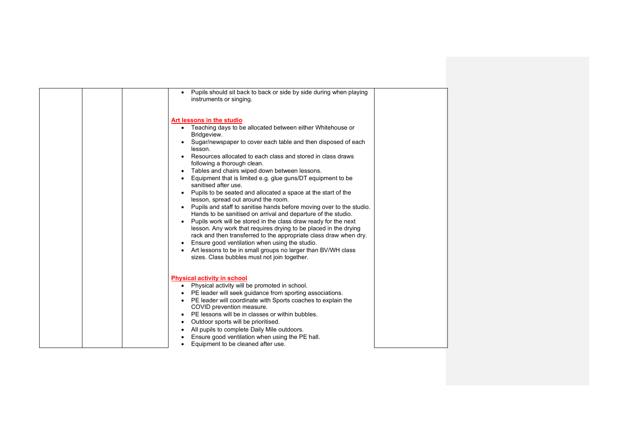| Pupils should sit back to back or side by side during when playing<br>instruments or singing.                                                                                                                                                                                                                                                                                                                                                                                                                                                                                                                                                                                                                                                                                                                                                                                                                                                                                                                                                                                                  |  |
|------------------------------------------------------------------------------------------------------------------------------------------------------------------------------------------------------------------------------------------------------------------------------------------------------------------------------------------------------------------------------------------------------------------------------------------------------------------------------------------------------------------------------------------------------------------------------------------------------------------------------------------------------------------------------------------------------------------------------------------------------------------------------------------------------------------------------------------------------------------------------------------------------------------------------------------------------------------------------------------------------------------------------------------------------------------------------------------------|--|
| Art lessons in the studio<br>Teaching days to be allocated between either Whitehouse or<br>$\bullet$<br>Bridgeview.<br>Sugar/newspaper to cover each table and then disposed of each<br>lesson.<br>Resources allocated to each class and stored in class draws<br>following a thorough clean.<br>Tables and chairs wiped down between lessons.<br>$\bullet$<br>Equipment that is limited e.g. glue guns/DT equipment to be<br>sanitised after use.<br>Pupils to be seated and allocated a space at the start of the<br>lesson, spread out around the room.<br>Pupils and staff to sanitise hands before moving over to the studio.<br>Hands to be sanitised on arrival and departure of the studio.<br>Pupils work will be stored in the class draw ready for the next<br>lesson. Any work that requires drying to be placed in the drying<br>rack and then transferred to the appropriate class draw when dry.<br>Ensure good ventilation when using the studio.<br>$\bullet$<br>Art lessons to be in small groups no larger than BV/WH class<br>sizes. Class bubbles must not join together. |  |
| <b>Physical activity in school</b><br>• Physical activity will be promoted in school.<br>PE leader will seek guidance from sporting associations.<br>PE leader will coordinate with Sports coaches to explain the<br>COVID prevention measure.<br>PE lessons will be in classes or within bubbles.<br>$\bullet$<br>Outdoor sports will be prioritised.<br>All pupils to complete Daily Mile outdoors.<br>Ensure good ventilation when using the PE hall.<br>Equipment to be cleaned after use.                                                                                                                                                                                                                                                                                                                                                                                                                                                                                                                                                                                                 |  |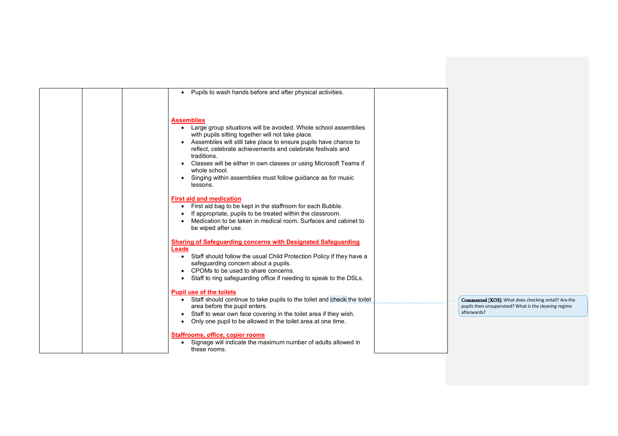| Pupils to wash hands before and after physical activities.                                                                                                                                                                                                                                                                                                                                                                                                                                 |                                                                                                                             |
|--------------------------------------------------------------------------------------------------------------------------------------------------------------------------------------------------------------------------------------------------------------------------------------------------------------------------------------------------------------------------------------------------------------------------------------------------------------------------------------------|-----------------------------------------------------------------------------------------------------------------------------|
| <b>Assemblies</b><br>• Large group situations will be avoided. Whole school assemblies<br>with pupils sitting together will not take place.<br>• Assemblies will still take place to ensure pupils have chance to<br>reflect, celebrate achievements and celebrate festivals and<br>traditions.<br>Classes will be either in own classes or using Microsoft Teams if<br>$\bullet$<br>whole school.<br>Singing within assemblies must follow guidance as for music<br>$\bullet$<br>lessons. |                                                                                                                             |
| <b>First aid and medication</b><br>• First aid bag to be kept in the staffroom for each Bubble.<br>If appropriate, pupils to be treated within the classroom.<br>$\bullet$<br>• Medication to be taken in medical room. Surfaces and cabinet to<br>be wiped after use.                                                                                                                                                                                                                     |                                                                                                                             |
| <b>Sharing of Safeguarding concerns with Designated Safeguarding</b><br><b>Leads</b><br>• Staff should follow the usual Child Protection Policy if they have a<br>safeguarding concern about a pupils.<br>• CPOMs to be used to share concerns.<br>Staff to ring safeguarding office if needing to speak to the DSLs.<br>$\bullet$                                                                                                                                                         |                                                                                                                             |
| <b>Pupil use of the toilets</b><br>• Staff should continue to take pupils to the toilet and check the toilet<br>area before the pupil enters.<br>• Staff to wear own face covering in the toilet area if they wish.<br>Only one pupil to be allowed in the toilet area at one time.<br>$\bullet$                                                                                                                                                                                           | Commented [KO3]: What does checking entail? Are the<br>pupils then unsupervised? What is the cleaning regime<br>afterwards? |
| <b>Staffrooms, office, copier rooms</b><br>Signage will indicate the maximum number of adults allowed in<br>$\bullet$<br>these rooms.                                                                                                                                                                                                                                                                                                                                                      |                                                                                                                             |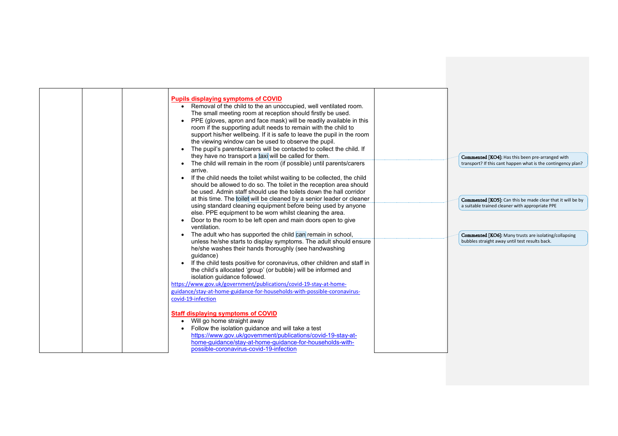| <b>Pupils displaying symptoms of COVID</b><br>• Removal of the child to the an unoccupied, well ventilated room.<br>The small meeting room at reception should firstly be used.<br>• PPE (gloves, apron and face mask) will be readily available in this<br>room if the supporting adult needs to remain with the child to<br>support his/her wellbeing. If it is safe to leave the pupil in the room<br>the viewing window can be used to observe the pupil.<br>• The pupil's parents/carers will be contacted to collect the child. If<br>they have no transport a taxi will be called for them.                                                                                                                                                                                                                                                                                                                                                                                                                                                                                                                                                                                                                                                                                                                                                                                                                                                                                                                 | Commented [KO4]: Has this been pre-arranged with                                                                                                                                                                                                                                         |
|--------------------------------------------------------------------------------------------------------------------------------------------------------------------------------------------------------------------------------------------------------------------------------------------------------------------------------------------------------------------------------------------------------------------------------------------------------------------------------------------------------------------------------------------------------------------------------------------------------------------------------------------------------------------------------------------------------------------------------------------------------------------------------------------------------------------------------------------------------------------------------------------------------------------------------------------------------------------------------------------------------------------------------------------------------------------------------------------------------------------------------------------------------------------------------------------------------------------------------------------------------------------------------------------------------------------------------------------------------------------------------------------------------------------------------------------------------------------------------------------------------------------|------------------------------------------------------------------------------------------------------------------------------------------------------------------------------------------------------------------------------------------------------------------------------------------|
| • The child will remain in the room (if possible) until parents/carers<br>arrive.<br>If the child needs the toilet whilst waiting to be collected, the child<br>$\bullet$<br>should be allowed to do so. The toilet in the reception area should<br>be used. Admin staff should use the toilets down the hall corridor<br>at this time. The toilet will be cleaned by a senior leader or cleaner<br>using standard cleaning equipment before being used by anyone<br>else. PPE equipment to be worn whilst cleaning the area.<br>Door to the room to be left open and main doors open to give<br>ventilation.<br>• The adult who has supported the child can remain in school,<br>unless he/she starts to display symptoms. The adult should ensure<br>he/she washes their hands thoroughly (see handwashing<br>quidance)<br>If the child tests positive for coronavirus, other children and staff in<br>$\bullet$<br>the child's allocated 'group' (or bubble) will be informed and<br>isolation guidance followed.<br>https://www.gov.uk/government/publications/covid-19-stay-at-home-<br>guidance/stay-at-home-guidance-for-households-with-possible-coronavirus-<br>covid-19-infection<br><b>Staff displaying symptoms of COVID</b><br>• Will go home straight away<br>Follow the isolation guidance and will take a test<br>$\bullet$<br>https://www.gov.uk/government/publications/covid-19-stay-at-<br>home-guidance/stay-at-home-guidance-for-households-with-<br>possible-coronavirus-covid-19-infection | transport? If this cant happen what is the contingency plan?<br>Commented [KO5]: Can this be made clear that it will be by<br>a suitable trained cleaner with appropriate PPE<br>Commented [KO6]: Many trusts are isolating/collapsing<br>bubbles straight away until test results back. |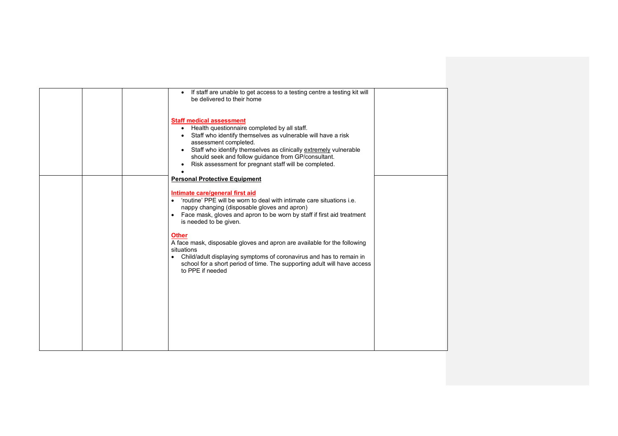| If staff are unable to get access to a testing centre a testing kit will<br>$\bullet$<br>be delivered to their home<br><b>Staff medical assessment</b><br>Health questionnaire completed by all staff.<br>Staff who identify themselves as vulnerable will have a risk<br>assessment completed.<br>Staff who identify themselves as clinically extremely vulnerable<br>$\bullet$<br>should seek and follow guidance from GP/consultant.<br>Risk assessment for pregnant staff will be completed.                                                                                                                |  |
|-----------------------------------------------------------------------------------------------------------------------------------------------------------------------------------------------------------------------------------------------------------------------------------------------------------------------------------------------------------------------------------------------------------------------------------------------------------------------------------------------------------------------------------------------------------------------------------------------------------------|--|
| <b>Personal Protective Equipment</b><br>Intimate care/general first aid<br>'routine' PPE will be worn to deal with intimate care situations i.e.<br>$\bullet$<br>nappy changing (disposable gloves and apron)<br>Face mask, gloves and apron to be worn by staff if first aid treatment<br>is needed to be given.<br><b>Other</b><br>A face mask, disposable gloves and apron are available for the following<br>situations<br>Child/adult displaying symptoms of coronavirus and has to remain in<br>$\bullet$<br>school for a short period of time. The supporting adult will have access<br>to PPE if needed |  |
|                                                                                                                                                                                                                                                                                                                                                                                                                                                                                                                                                                                                                 |  |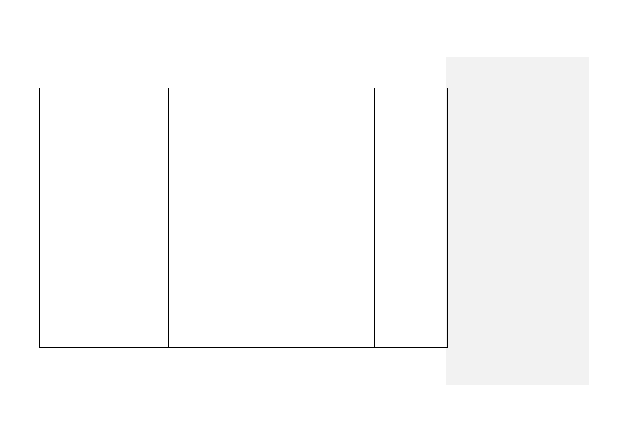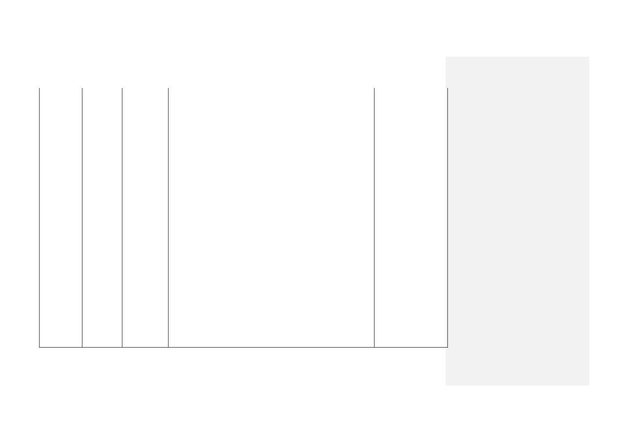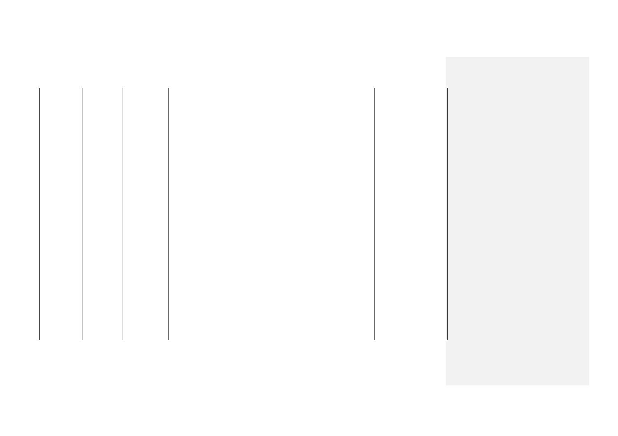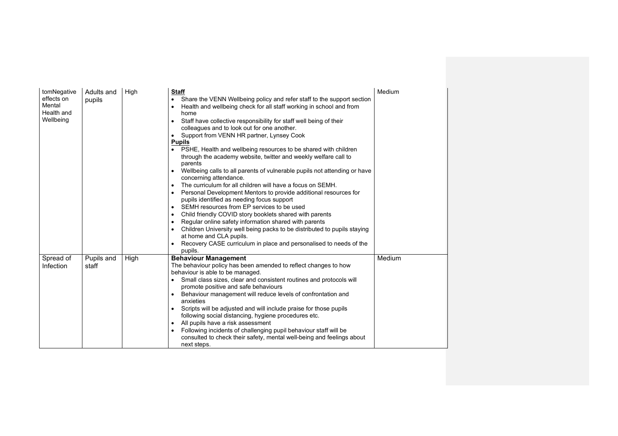| tomNegative<br>effects on<br>Mental<br>Health and<br>Wellbeing | Adults and<br>pupils | High | <b>Staff</b><br>Share the VENN Wellbeing policy and refer staff to the support section<br>٠<br>Health and wellbeing check for all staff working in school and from<br>home<br>Staff have collective responsibility for staff well being of their<br>٠<br>colleagues and to look out for one another.<br>Support from VENN HR partner, Lynsey Cook<br>٠<br><b>Pupils</b><br>PSHE, Health and wellbeing resources to be shared with children<br>$\bullet$<br>through the academy website, twitter and weekly welfare call to<br>parents<br>Wellbeing calls to all parents of vulnerable pupils not attending or have<br>$\bullet$<br>concerning attendance.<br>The curriculum for all children will have a focus on SEMH.<br>$\bullet$<br>Personal Development Mentors to provide additional resources for<br>$\bullet$<br>pupils identified as needing focus support<br>SEMH resources from EP services to be used<br>$\bullet$<br>Child friendly COVID story booklets shared with parents<br>$\bullet$<br>Regular online safety information shared with parents<br>$\bullet$<br>Children University well being packs to be distributed to pupils staying<br>at home and CLA pupils.<br>Recovery CASE curriculum in place and personalised to needs of the<br>pupils. | Medium |
|----------------------------------------------------------------|----------------------|------|----------------------------------------------------------------------------------------------------------------------------------------------------------------------------------------------------------------------------------------------------------------------------------------------------------------------------------------------------------------------------------------------------------------------------------------------------------------------------------------------------------------------------------------------------------------------------------------------------------------------------------------------------------------------------------------------------------------------------------------------------------------------------------------------------------------------------------------------------------------------------------------------------------------------------------------------------------------------------------------------------------------------------------------------------------------------------------------------------------------------------------------------------------------------------------------------------------------------------------------------------------------------|--------|
| Spread of<br>Infection                                         | Pupils and<br>staff  | High | <b>Behaviour Management</b><br>The behaviour policy has been amended to reflect changes to how<br>behaviour is able to be managed.<br>Small class sizes, clear and consistent routines and protocols will<br>promote positive and safe behaviours<br>Behaviour management will reduce levels of confrontation and<br>$\bullet$<br>anxieties<br>Scripts will be adjusted and will include praise for those pupils<br>following social distancing, hygiene procedures etc.<br>All pupils have a risk assessment<br>$\bullet$<br>Following incidents of challenging pupil behaviour staff will be<br>consulted to check their safety, mental well-being and feelings about<br>next steps.                                                                                                                                                                                                                                                                                                                                                                                                                                                                                                                                                                               | Medium |